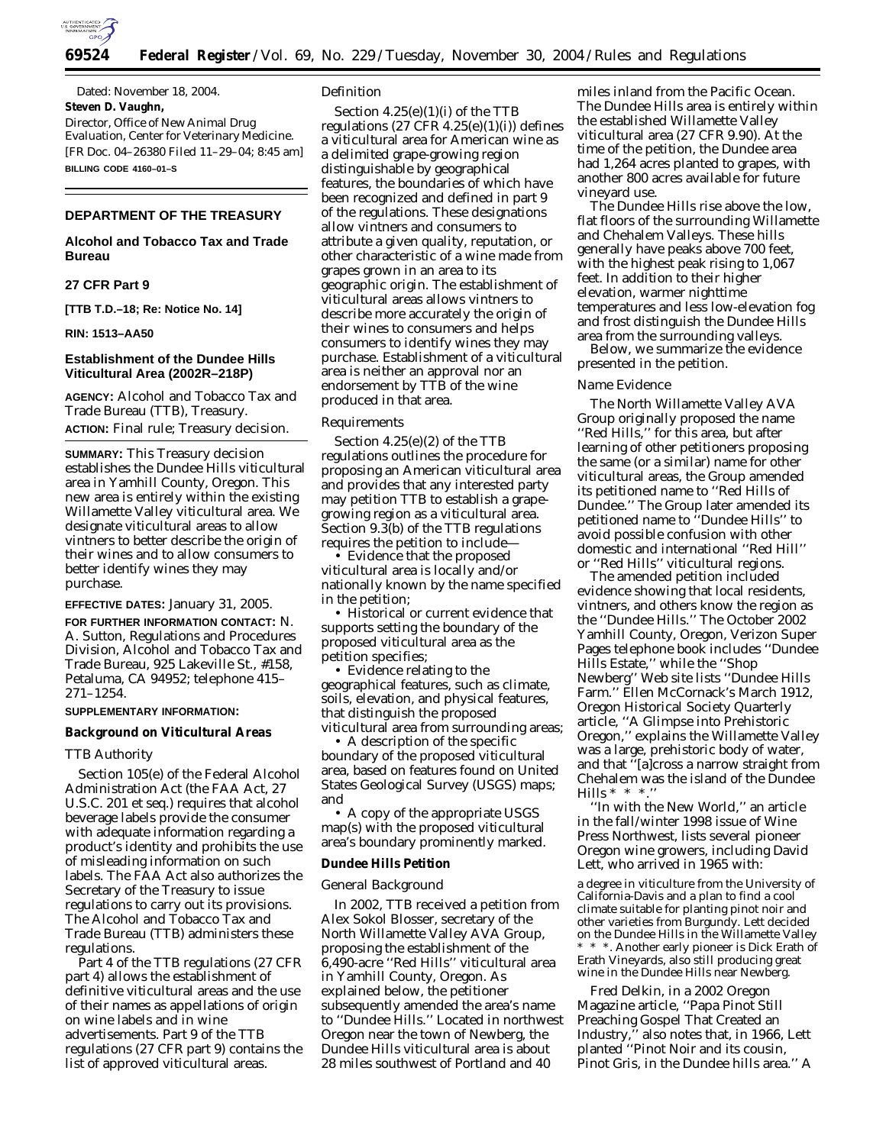

Dated: November 18, 2004. **Steven D. Vaughn,** *Director, Office of New Animal Drug* 

*Evaluation, Center for Veterinary Medicine.* [FR Doc. 04–26380 Filed 11–29–04; 8:45 am] **BILLING CODE 4160–01–S**

# **DEPARTMENT OF THE TREASURY**

## **Alcohol and Tobacco Tax and Trade Bureau**

# **27 CFR Part 9**

**[TTB T.D.–18; Re: Notice No. 14]** 

#### **RIN: 1513–AA50**

# **Establishment of the Dundee Hills Viticultural Area (2002R–218P)**

**AGENCY:** Alcohol and Tobacco Tax and Trade Bureau (TTB), Treasury. **ACTION:** Final rule; Treasury decision.

**SUMMARY:** This Treasury decision establishes the Dundee Hills viticultural area in Yamhill County, Oregon. This new area is entirely within the existing Willamette Valley viticultural area. We designate viticultural areas to allow vintners to better describe the origin of their wines and to allow consumers to better identify wines they may purchase.

### **EFFECTIVE DATES:** January 31, 2005.

**FOR FURTHER INFORMATION CONTACT:** N. A. Sutton, Regulations and Procedures Division, Alcohol and Tobacco Tax and Trade Bureau, 925 Lakeville St., #158, Petaluma, CA 94952; telephone 415– 271–1254.

### **SUPPLEMENTARY INFORMATION:**

#### **Background on Viticultural Areas**

#### *TTB Authority*

Section 105(e) of the Federal Alcohol Administration Act (the FAA Act, 27 U.S.C. 201 *et seq.*) requires that alcohol beverage labels provide the consumer with adequate information regarding a product's identity and prohibits the use of misleading information on such labels. The FAA Act also authorizes the Secretary of the Treasury to issue regulations to carry out its provisions. The Alcohol and Tobacco Tax and Trade Bureau (TTB) administers these regulations.

Part 4 of the TTB regulations (27 CFR part 4) allows the establishment of definitive viticultural areas and the use of their names as appellations of origin on wine labels and in wine advertisements. Part 9 of the TTB regulations (27 CFR part 9) contains the list of approved viticultural areas.

#### *Definition*

Section 4.25(e)(1)(i) of the TTB regulations  $(27 \text{ CFR } 4.25(e)(1)(i))$  defines a viticultural area for American wine as a delimited grape-growing region distinguishable by geographical features, the boundaries of which have been recognized and defined in part 9 of the regulations. These designations allow vintners and consumers to attribute a given quality, reputation, or other characteristic of a wine made from grapes grown in an area to its geographic origin. The establishment of viticultural areas allows vintners to describe more accurately the origin of their wines to consumers and helps consumers to identify wines they may purchase. Establishment of a viticultural area is neither an approval nor an endorsement by TTB of the wine produced in that area.

#### *Requirements*

Section 4.25(e)(2) of the TTB regulations outlines the procedure for proposing an American viticultural area and provides that any interested party may petition TTB to establish a grapegrowing region as a viticultural area. Section 9.3(b) of the TTB regulations requires the petition to include—

• Evidence that the proposed viticultural area is locally and/or nationally known by the name specified in the petition;

• Historical or current evidence that supports setting the boundary of the proposed viticultural area as the petition specifies;

• Evidence relating to the geographical features, such as climate, soils, elevation, and physical features, that distinguish the proposed viticultural area from surrounding areas;

• A description of the specific boundary of the proposed viticultural area, based on features found on United States Geological Survey (USGS) maps; and

• A copy of the appropriate USGS map(s) with the proposed viticultural area's boundary prominently marked.

#### **Dundee Hills Petition**

#### *General Background*

In 2002, TTB received a petition from Alex Sokol Blosser, secretary of the North Willamette Valley AVA Group, proposing the establishment of the 6,490-acre ''Red Hills'' viticultural area in Yamhill County, Oregon. As explained below, the petitioner subsequently amended the area's name to ''Dundee Hills.'' Located in northwest Oregon near the town of Newberg, the Dundee Hills viticultural area is about 28 miles southwest of Portland and 40

miles inland from the Pacific Ocean. The Dundee Hills area is entirely within the established Willamette Valley viticultural area (27 CFR 9.90). At the time of the petition, the Dundee area had 1,264 acres planted to grapes, with another 800 acres available for future vineyard use.

The Dundee Hills rise above the low, flat floors of the surrounding Willamette and Chehalem Valleys. These hills generally have peaks above 700 feet, with the highest peak rising to 1,067 feet. In addition to their higher elevation, warmer nighttime temperatures and less low-elevation fog and frost distinguish the Dundee Hills area from the surrounding valleys.

Below, we summarize the evidence presented in the petition.

### *Name Evidence*

The North Willamette Valley AVA Group originally proposed the name ''Red Hills,'' for this area, but after learning of other petitioners proposing the same (or a similar) name for other viticultural areas, the Group amended its petitioned name to ''Red Hills of Dundee.'' The Group later amended its petitioned name to ''Dundee Hills'' to avoid possible confusion with other domestic and international ''Red Hill'' or ''Red Hills'' viticultural regions.

The amended petition included evidence showing that local residents, vintners, and others know the region as the ''Dundee Hills.'' The October 2002 Yamhill County, Oregon, Verizon Super Pages telephone book includes ''Dundee Hills Estate,'' while the ''Shop Newberg'' Web site lists ''Dundee Hills Farm.'' Ellen McCornack's March 1912, Oregon Historical Society Quarterly article, ''A Glimpse into Prehistoric Oregon,'' explains the Willamette Valley was a large, prehistoric body of water, and that ''[a]cross a narrow straight from Chehalem was the island of the Dundee Hills  $* * *$ .

''In with the New World,'' an article in the fall/winter 1998 issue of Wine Press Northwest, lists several pioneer Oregon wine growers, including David Lett, who arrived in 1965 with:

a degree in viticulture from the University of California-Davis and a plan to find a cool climate suitable for planting pinot noir and other varieties from Burgundy. Lett decided on the Dundee Hills in the Willamette Valley \* \* \*. Another early pioneer is Dick Erath of Erath Vineyards, also still producing great wine in the Dundee Hills near Newberg.

Fred Delkin, in a 2002 Oregon Magazine article, ''Papa Pinot Still Preaching Gospel That Created an Industry,'' also notes that, in 1966, Lett planted ''Pinot Noir and its cousin, Pinot Gris, in the Dundee hills area.'' A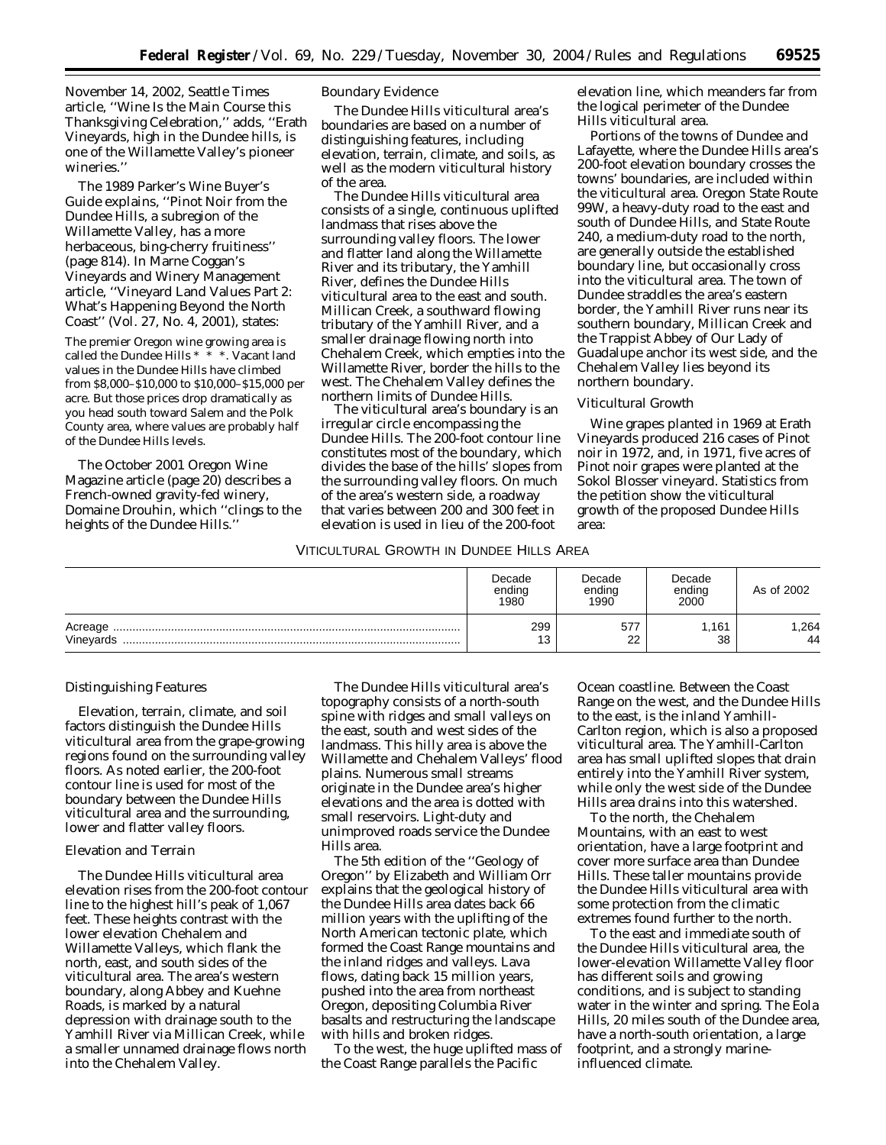November 14, 2002, Seattle Times article, ''Wine Is the Main Course this Thanksgiving Celebration,'' adds, ''Erath Vineyards, high in the Dundee hills, is one of the Willamette Valley's pioneer wineries.''

The 1989 Parker's Wine Buyer's Guide explains, ''Pinot Noir from the Dundee Hills, a subregion of the Willamette Valley, has a more herbaceous, bing-cherry fruitiness'' (page 814). In Marne Coggan's Vineyards and Winery Management article, ''Vineyard Land Values Part 2: What's Happening Beyond the North Coast'' (Vol. 27, No. 4, 2001), states:

The premier Oregon wine growing area is called the Dundee Hills \* \* \*. Vacant land values in the Dundee Hills have climbed from \$8,000–\$10,000 to \$10,000–\$15,000 per acre. But those prices drop dramatically as you head south toward Salem and the Polk County area, where values are probably half of the Dundee Hills levels.

The October 2001 Oregon Wine Magazine article (page 20) describes a French-owned gravity-fed winery, Domaine Drouhin, which ''clings to the heights of the Dundee Hills.''

## *Boundary Evidence*

The Dundee Hills viticultural area's boundaries are based on a number of distinguishing features, including elevation, terrain, climate, and soils, as well as the modern viticultural history of the area.

The Dundee Hills viticultural area consists of a single, continuous uplifted landmass that rises above the surrounding valley floors. The lower and flatter land along the Willamette River and its tributary, the Yamhill River, defines the Dundee Hills viticultural area to the east and south. Millican Creek, a southward flowing tributary of the Yamhill River, and a smaller drainage flowing north into Chehalem Creek, which empties into the Willamette River, border the hills to the west. The Chehalem Valley defines the northern limits of Dundee Hills.

The viticultural area's boundary is an irregular circle encompassing the Dundee Hills. The 200-foot contour line constitutes most of the boundary, which divides the base of the hills' slopes from the surrounding valley floors. On much of the area's western side, a roadway that varies between 200 and 300 feet in elevation is used in lieu of the 200-foot

elevation line, which meanders far from the logical perimeter of the Dundee Hills viticultural area.

Portions of the towns of Dundee and Lafayette, where the Dundee Hills area's 200-foot elevation boundary crosses the towns' boundaries, are included within the viticultural area. Oregon State Route 99W, a heavy-duty road to the east and south of Dundee Hills, and State Route 240, a medium-duty road to the north, are generally outside the established boundary line, but occasionally cross into the viticultural area. The town of Dundee straddles the area's eastern border, the Yamhill River runs near its southern boundary, Millican Creek and the Trappist Abbey of Our Lady of Guadalupe anchor its west side, and the Chehalem Valley lies beyond its northern boundary.

### *Viticultural Growth*

Wine grapes planted in 1969 at Erath Vineyards produced 216 cases of Pinot noir in 1972, and, in 1971, five acres of Pinot noir grapes were planted at the Sokol Blosser vineyard. Statistics from the petition show the viticultural growth of the proposed Dundee Hills area:

# VITICULTURAL GROWTH IN DUNDEE HILLS AREA

|                      | Decade<br>ending<br>1980 | Decade<br>ending<br>1990 | Decade<br>ending<br>2000 | As of 2002 |
|----------------------|--------------------------|--------------------------|--------------------------|------------|
| Acreage<br>Vineyards | 299<br>12<br>ن ا         | 577<br>22                | 1.161<br>38              | .264<br>44 |

#### *Distinguishing Features*

Elevation, terrain, climate, and soil factors distinguish the Dundee Hills viticultural area from the grape-growing regions found on the surrounding valley floors. As noted earlier, the 200-foot contour line is used for most of the boundary between the Dundee Hills viticultural area and the surrounding, lower and flatter valley floors.

### Elevation and Terrain

The Dundee Hills viticultural area elevation rises from the 200-foot contour line to the highest hill's peak of 1,067 feet. These heights contrast with the lower elevation Chehalem and Willamette Valleys, which flank the north, east, and south sides of the viticultural area. The area's western boundary, along Abbey and Kuehne Roads, is marked by a natural depression with drainage south to the Yamhill River via Millican Creek, while a smaller unnamed drainage flows north into the Chehalem Valley.

The Dundee Hills viticultural area's topography consists of a north-south spine with ridges and small valleys on the east, south and west sides of the landmass. This hilly area is above the Willamette and Chehalem Valleys' flood plains. Numerous small streams originate in the Dundee area's higher elevations and the area is dotted with small reservoirs. Light-duty and unimproved roads service the Dundee Hills area.

The 5th edition of the ''Geology of Oregon'' by Elizabeth and William Orr explains that the geological history of the Dundee Hills area dates back 66 million years with the uplifting of the North American tectonic plate, which formed the Coast Range mountains and the inland ridges and valleys. Lava flows, dating back 15 million years, pushed into the area from northeast Oregon, depositing Columbia River basalts and restructuring the landscape with hills and broken ridges.

To the west, the huge uplifted mass of the Coast Range parallels the Pacific

Ocean coastline. Between the Coast Range on the west, and the Dundee Hills to the east, is the inland Yamhill-Carlton region, which is also a proposed viticultural area. The Yamhill-Carlton area has small uplifted slopes that drain entirely into the Yamhill River system, while only the west side of the Dundee Hills area drains into this watershed.

To the north, the Chehalem Mountains, with an east to west orientation, have a large footprint and cover more surface area than Dundee Hills. These taller mountains provide the Dundee Hills viticultural area with some protection from the climatic extremes found further to the north.

To the east and immediate south of the Dundee Hills viticultural area, the lower-elevation Willamette Valley floor has different soils and growing conditions, and is subject to standing water in the winter and spring. The Eola Hills, 20 miles south of the Dundee area, have a north-south orientation, a large footprint, and a strongly marineinfluenced climate.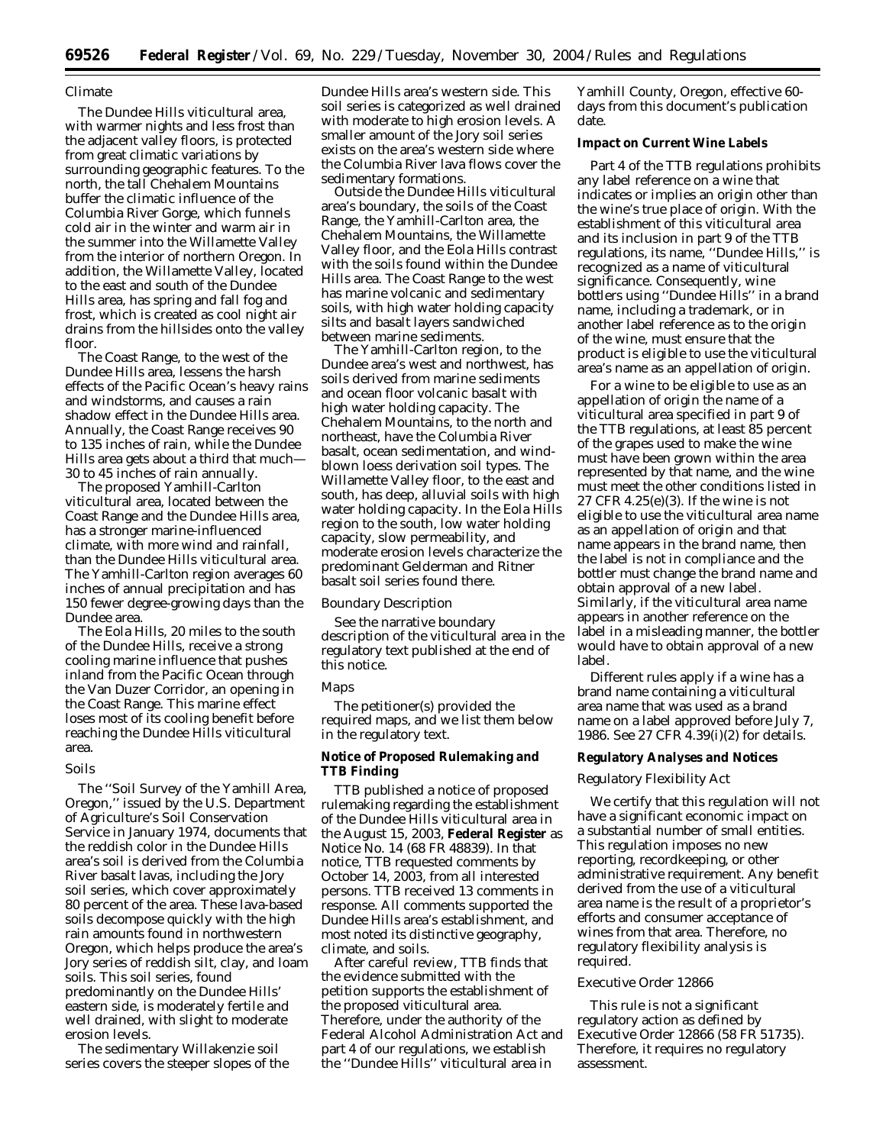### Climate

The Dundee Hills viticultural area, with warmer nights and less frost than the adjacent valley floors, is protected from great climatic variations by surrounding geographic features. To the north, the tall Chehalem Mountains buffer the climatic influence of the Columbia River Gorge, which funnels cold air in the winter and warm air in the summer into the Willamette Valley from the interior of northern Oregon. In addition, the Willamette Valley, located to the east and south of the Dundee Hills area, has spring and fall fog and frost, which is created as cool night air drains from the hillsides onto the valley floor.

The Coast Range, to the west of the Dundee Hills area, lessens the harsh effects of the Pacific Ocean's heavy rains and windstorms, and causes a rain shadow effect in the Dundee Hills area. Annually, the Coast Range receives 90 to 135 inches of rain, while the Dundee Hills area gets about a third that much— 30 to 45 inches of rain annually.

The proposed Yamhill-Carlton viticultural area, located between the Coast Range and the Dundee Hills area, has a stronger marine-influenced climate, with more wind and rainfall, than the Dundee Hills viticultural area. The Yamhill-Carlton region averages 60 inches of annual precipitation and has 150 fewer degree-growing days than the Dundee area.

The Eola Hills, 20 miles to the south of the Dundee Hills, receive a strong cooling marine influence that pushes inland from the Pacific Ocean through the Van Duzer Corridor, an opening in the Coast Range. This marine effect loses most of its cooling benefit before reaching the Dundee Hills viticultural area.

#### Soils

The ''Soil Survey of the Yamhill Area, Oregon,'' issued by the U.S. Department of Agriculture's Soil Conservation Service in January 1974, documents that the reddish color in the Dundee Hills area's soil is derived from the Columbia River basalt lavas, including the Jory soil series, which cover approximately 80 percent of the area. These lava-based soils decompose quickly with the high rain amounts found in northwestern Oregon, which helps produce the area's Jory series of reddish silt, clay, and loam soils. This soil series, found predominantly on the Dundee Hills' eastern side, is moderately fertile and well drained, with slight to moderate erosion levels.

The sedimentary Willakenzie soil series covers the steeper slopes of the Dundee Hills area's western side. This soil series is categorized as well drained with moderate to high erosion levels. A smaller amount of the Jory soil series exists on the area's western side where the Columbia River lava flows cover the sedimentary formations.

Outside the Dundee Hills viticultural area's boundary, the soils of the Coast Range, the Yamhill-Carlton area, the Chehalem Mountains, the Willamette Valley floor, and the Eola Hills contrast with the soils found within the Dundee Hills area. The Coast Range to the west has marine volcanic and sedimentary soils, with high water holding capacity silts and basalt layers sandwiched between marine sediments.

The Yamhill-Carlton region, to the Dundee area's west and northwest, has soils derived from marine sediments and ocean floor volcanic basalt with high water holding capacity. The Chehalem Mountains, to the north and northeast, have the Columbia River basalt, ocean sedimentation, and windblown loess derivation soil types. The Willamette Valley floor, to the east and south, has deep, alluvial soils with high water holding capacity. In the Eola Hills region to the south, low water holding capacity, slow permeability, and moderate erosion levels characterize the predominant Gelderman and Ritner basalt soil series found there.

### *Boundary Description*

*See* the narrative boundary description of the viticultural area in the regulatory text published at the end of this notice.

### *Maps*

The petitioner(s) provided the required maps, and we list them below in the regulatory text.

### **Notice of Proposed Rulemaking and TTB Finding**

TTB published a notice of proposed rulemaking regarding the establishment of the Dundee Hills viticultural area in the August 15, 2003, **Federal Register** as Notice No. 14 (68 FR 48839). In that notice, TTB requested comments by October 14, 2003, from all interested persons. TTB received 13 comments in response. All comments supported the Dundee Hills area's establishment, and most noted its distinctive geography, climate, and soils.

After careful review, TTB finds that the evidence submitted with the petition supports the establishment of the proposed viticultural area. Therefore, under the authority of the Federal Alcohol Administration Act and part 4 of our regulations, we establish the ''Dundee Hills'' viticultural area in

Yamhill County, Oregon, effective 60 days from this document's publication date.

## **Impact on Current Wine Labels**

Part 4 of the TTB regulations prohibits any label reference on a wine that indicates or implies an origin other than the wine's true place of origin. With the establishment of this viticultural area and its inclusion in part 9 of the TTB regulations, its name, ''Dundee Hills,'' is recognized as a name of viticultural significance. Consequently, wine bottlers using ''Dundee Hills'' in a brand name, including a trademark, or in another label reference as to the origin of the wine, must ensure that the product is eligible to use the viticultural area's name as an appellation of origin.

For a wine to be eligible to use as an appellation of origin the name of a viticultural area specified in part 9 of the TTB regulations, at least 85 percent of the grapes used to make the wine must have been grown within the area represented by that name, and the wine must meet the other conditions listed in 27 CFR 4.25(e)(3). If the wine is not eligible to use the viticultural area name as an appellation of origin and that name appears in the brand name, then the label is not in compliance and the bottler must change the brand name and obtain approval of a new label. Similarly, if the viticultural area name appears in another reference on the label in a misleading manner, the bottler would have to obtain approval of a new label.

Different rules apply if a wine has a brand name containing a viticultural area name that was used as a brand name on a label approved before July 7, 1986. *See* 27 CFR 4.39(i)(2) for details.

#### **Regulatory Analyses and Notices**

#### *Regulatory Flexibility Act*

We certify that this regulation will not have a significant economic impact on a substantial number of small entities. This regulation imposes no new reporting, recordkeeping, or other administrative requirement. Any benefit derived from the use of a viticultural area name is the result of a proprietor's efforts and consumer acceptance of wines from that area. Therefore, no regulatory flexibility analysis is required.

#### *Executive Order 12866*

This rule is not a significant regulatory action as defined by Executive Order 12866 (58 FR 51735). Therefore, it requires no regulatory assessment.